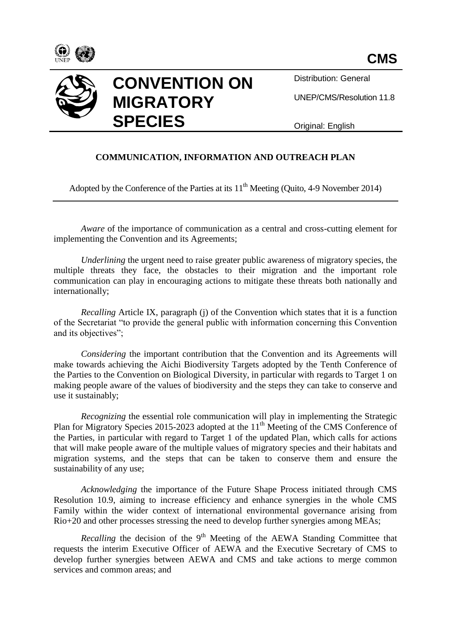

Distribution: General

UNEP/CMS/Resolution 11.8

Original: English

## **COMMUNICATION, INFORMATION AND OUTREACH PLAN**

Adopted by the Conference of the Parties at its  $11<sup>th</sup>$  Meeting (Quito, 4-9 November 2014)

*Aware* of the importance of communication as a central and cross-cutting element for implementing the Convention and its Agreements;

*Underlining* the urgent need to raise greater public awareness of migratory species, the multiple threats they face, the obstacles to their migration and the important role communication can play in encouraging actions to mitigate these threats both nationally and internationally;

*Recalling* Article IX, paragraph (j) of the Convention which states that it is a function of the Secretariat "to provide the general public with information concerning this Convention and its objectives";

*Considering* the important contribution that the Convention and its Agreements will make towards achieving the Aichi Biodiversity Targets adopted by the Tenth Conference of the Parties to the Convention on Biological Diversity, in particular with regards to Target 1 on making people aware of the values of biodiversity and the steps they can take to conserve and use it sustainably;

*Recognizing* the essential role communication will play in implementing the Strategic Plan for Migratory Species 2015-2023 adopted at the 11<sup>th</sup> Meeting of the CMS Conference of the Parties, in particular with regard to Target 1 of the updated Plan, which calls for actions that will make people aware of the multiple values of migratory species and their habitats and migration systems, and the steps that can be taken to conserve them and ensure the sustainability of any use;

*Acknowledging* the importance of the Future Shape Process initiated through CMS Resolution 10.9, aiming to increase efficiency and enhance synergies in the whole CMS Family within the wider context of international environmental governance arising from Rio+20 and other processes stressing the need to develop further synergies among MEAs;

*Recalling* the decision of the  $9<sup>th</sup>$  Meeting of the AEWA Standing Committee that requests the interim Executive Officer of AEWA and the Executive Secretary of CMS to develop further synergies between AEWA and CMS and take actions to merge common services and common areas; and